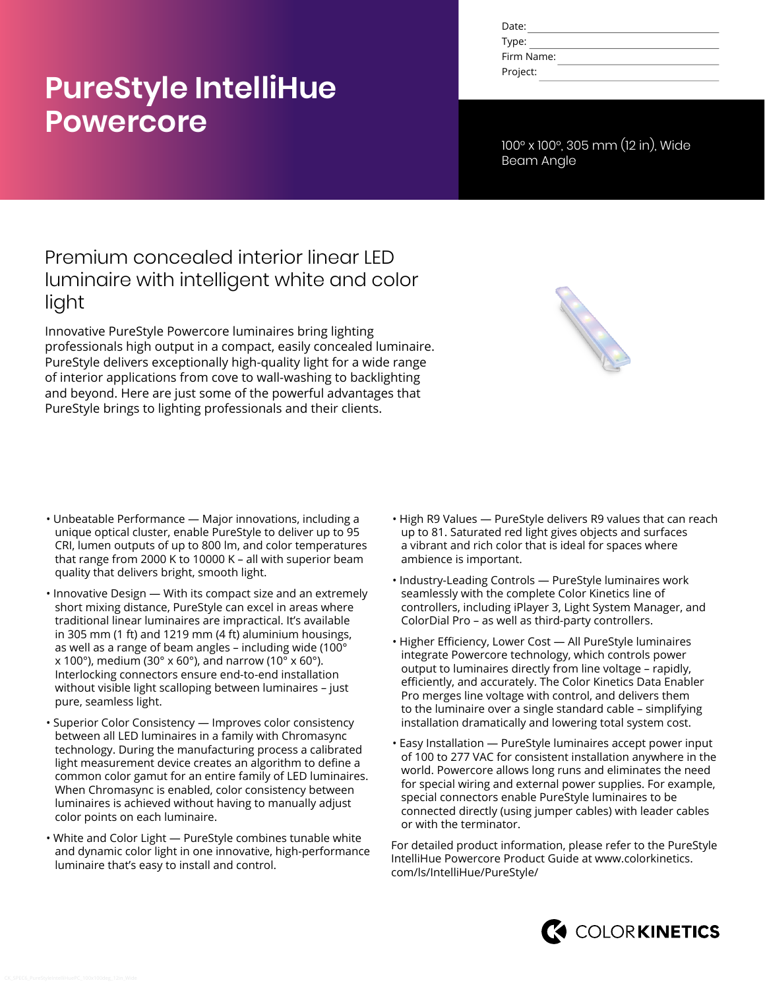# **PureStyle IntelliHue Powercore**

| Date:      |  |
|------------|--|
| Type:      |  |
| Firm Name: |  |
| Project:   |  |

100° x 100°, 305 mm (12 in), Wide Beam Angle

# Premium concealed interior linear LED luminaire with intelligent white and color light

Innovative PureStyle Powercore luminaires bring lighting professionals high output in a compact, easily concealed luminaire. PureStyle delivers exceptionally high-quality light for a wide range of interior applications from cove to wall-washing to backlighting and beyond. Here are just some of the powerful advantages that PureStyle brings to lighting professionals and their clients.



- Unbeatable Performance Major innovations, including a unique optical cluster, enable PureStyle to deliver up to 95 CRI, lumen outputs of up to 800 lm, and color temperatures that range from 2000 K to 10000 K – all with superior beam quality that delivers bright, smooth light.
- Innovative Design With its compact size and an extremely short mixing distance, PureStyle can excel in areas where traditional linear luminaires are impractical. It's available in 305 mm (1 ft) and 1219 mm (4 ft) aluminium housings, as well as a range of beam angles - including wide (100 $^{\circ}$  $x$  100°), medium (30° x 60°), and narrow (10° x 60°). Interlocking connectors ensure end-to-end installation without visible light scalloping between luminaires – just pure, seamless light.
- Superior Color Consistency Improves color consistency between all LED luminaires in a family with Chromasync technology. During the manufacturing process a calibrated light measurement device creates an algorithm to define a common color gamut for an entire family of LED luminaires. When Chromasync is enabled, color consistency between luminaires is achieved without having to manually adjust color points on each luminaire.
- White and Color Light PureStyle combines tunable white and dynamic color light in one innovative, high-performance luminaire that's easy to install and control.
- High R9 Values PureStyle delivers R9 values that can reach up to 81. Saturated red light gives objects and surfaces a vibrant and rich color that is ideal for spaces where ambience is important.
- Industry-Leading Controls PureStyle luminaires work seamlessly with the complete Color Kinetics line of controllers, including iPlayer 3, Light System Manager, and ColorDial Pro – as well as third-party controllers.
- Higher Efficiency, Lower Cost All PureStyle luminaires integrate Powercore technology, which controls power output to luminaires directly from line voltage – rapidly, efficiently, and accurately. The Color Kinetics Data Enabler Pro merges line voltage with control, and delivers them to the luminaire over a single standard cable – simplifying installation dramatically and lowering total system cost.
- Easy Installation PureStyle luminaires accept power input of 100 to 277 VAC for consistent installation anywhere in the world. Powercore allows long runs and eliminates the need for special wiring and external power supplies. For example, special connectors enable PureStyle luminaires to be connected directly (using jumper cables) with leader cables or with the terminator.

For detailed product information, please refer to the PureStyle IntelliHue Powercore Product Guide at [www.colorkinetics.](http://www.colorkinetics.com/ls/IntelliHue/PureStyle/) [com/ls/IntelliHue/PureStyle/](http://www.colorkinetics.com/ls/IntelliHue/PureStyle/)

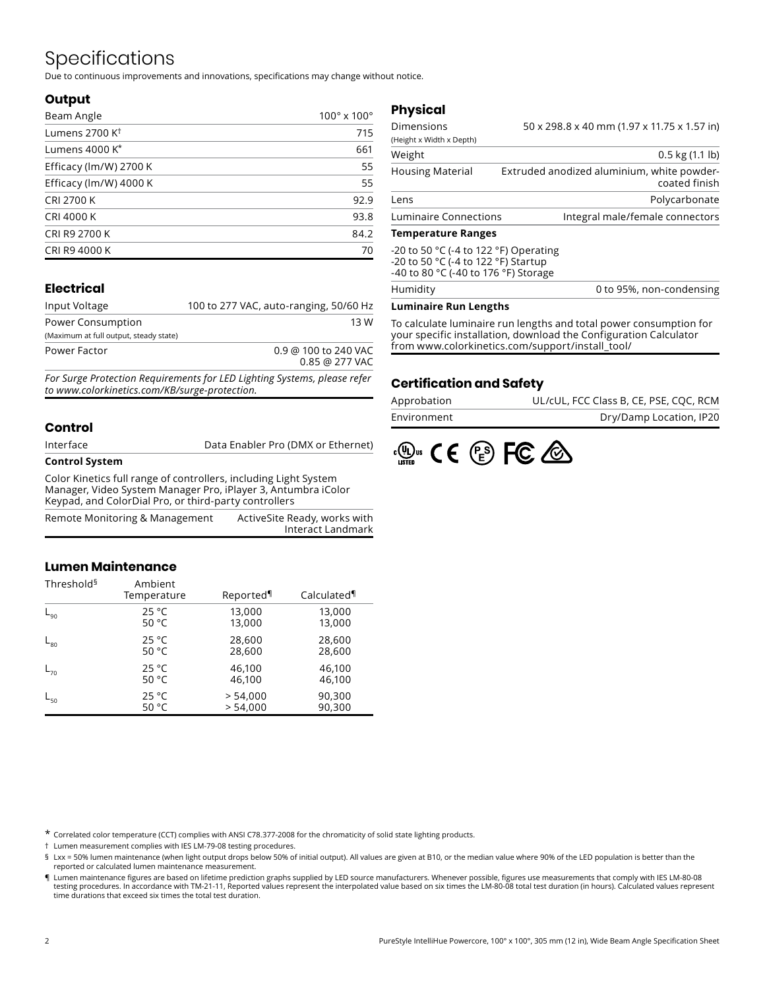# Specifications

Due to continuous improvements and innovations, specifications may change without notice.

#### **Output**

| Beam Angle                 | $100^\circ \times 100^\circ$ |
|----------------------------|------------------------------|
| Lumens 2700 K <sup>t</sup> | 715                          |
| Lumens 4000 K*             | 661                          |
| Efficacy (lm/W) 2700 K     | 55                           |
| Efficacy (lm/W) 4000 K     | 55                           |
| <b>CRI 2700 K</b>          | 92.9                         |
| <b>CRI 4000 K</b>          | 93.8                         |
| CRI R9 2700 K              | 84.2                         |
| CRI R9 4000 K              | 70                           |

### **Electrical**

| Input Voltage                          | 100 to 277 VAC, auto-ranging, 50/60 Hz   |
|----------------------------------------|------------------------------------------|
| Power Consumption                      | 13 W                                     |
| (Maximum at full output, steady state) |                                          |
| Power Factor                           | 0.9 @ 100 to 240 VAC<br>$0.85$ @ 277 VAC |
|                                        |                                          |

*For Surge Protection Requirements for LED Lighting Systems, please refer to www.colorkinetics.com/KB/surge-protection.*

### **Control**

| Interface             | Data Enabler Pro (DMX or Ethernet) |
|-----------------------|------------------------------------|
| <b>Control System</b> |                                    |

Color Kinetics full range of controllers, including Light System Manager, Video System Manager Pro, iPlayer 3, Antumbra iColor Keypad, and ColorDial Pro, or third-party controllers

| Remote Monitoring & Management | ActiveSite Ready, works with |
|--------------------------------|------------------------------|
|                                | Interact Landmark            |

### **Lumen Maintenance**

| Threshold <sup>§</sup> | Ambient<br>Temperature | Reported | Calculated |  |  |  |  |
|------------------------|------------------------|----------|------------|--|--|--|--|
| $L_{90}$               | 25 °C                  | 13,000   | 13,000     |  |  |  |  |
|                        | 50 $^{\circ}$ C        | 13,000   | 13,000     |  |  |  |  |
| $L_{80}$               | 25 °C                  | 28,600   | 28,600     |  |  |  |  |
|                        | 50 $^{\circ}$ C        | 28,600   | 28,600     |  |  |  |  |
| $L_{70}$               | 25 °C                  | 46,100   | 46,100     |  |  |  |  |
|                        | 50 $^{\circ}$ C        | 46,100   | 46,100     |  |  |  |  |
| $L_{50}$               | 25 °C                  | > 54,000 | 90,300     |  |  |  |  |
|                        | 50 °C                  | > 54.000 | 90,300     |  |  |  |  |

### **Physical**

| Dimensions                | 50 x 298.8 x 40 mm (1.97 x 11.75 x 1.57 in)                 |
|---------------------------|-------------------------------------------------------------|
| (Height x Width x Depth)  |                                                             |
| Weight                    | $0.5$ kg $(1.1$ lb)                                         |
| <b>Housing Material</b>   | Extruded anodized aluminium, white powder-<br>coated finish |
| Lens                      | Polycarbonate                                               |
| Luminaire Connections     | Integral male/female connectors                             |
| <b>Temperature Ranges</b> |                                                             |

**Temperature Ranges**

| Humidity                                                                    | 0 to 95%, non-condensing |
|-----------------------------------------------------------------------------|--------------------------|
| -20 to 50 °C (-4 to 122 °F) Startup<br>-40 to 80 °C (-40 to 176 °F) Storage |                          |
| -20 to 50 °C (-4 to 122 °F) Operating                                       |                          |

#### **Luminaire Run Lengths**

To calculate luminaire run lengths and total power consumption for your specific installation, download the Configuration Calculator from www.colorkinetics.com/support/install\_tool/

### **Certification and Safety**

| Approbation | UL/cUL, FCC Class B, CE, PSE, CQC, RCM |
|-------------|----------------------------------------|
| Environment | Dry/Damp Location, IP20                |



\* Correlated color temperature (CCT) complies with ANSI C78.377-2008 for the chromaticity of solid state lighting products.

† Lumen measurement complies with IES LM-79-08 testing procedures.

§ Lxx = 50% lumen maintenance (when light output drops below 50% of initial output). All values are given at B10, or the median value where 90% of the LED population is better than the reported or calculated lumen maintenance measurement.

¶ Lumen maintenance figures are based on lifetime prediction graphs supplied by LED source manufacturers. Whenever possible, figures use measurements that comply with IES LM-80-08 testing procedures. In accordance with TM-21-11, Reported values represent the interpolated value based on six times the LM-80-08 total test duration (in hours). Calculated values represent time durations that exceed six times the total test duration.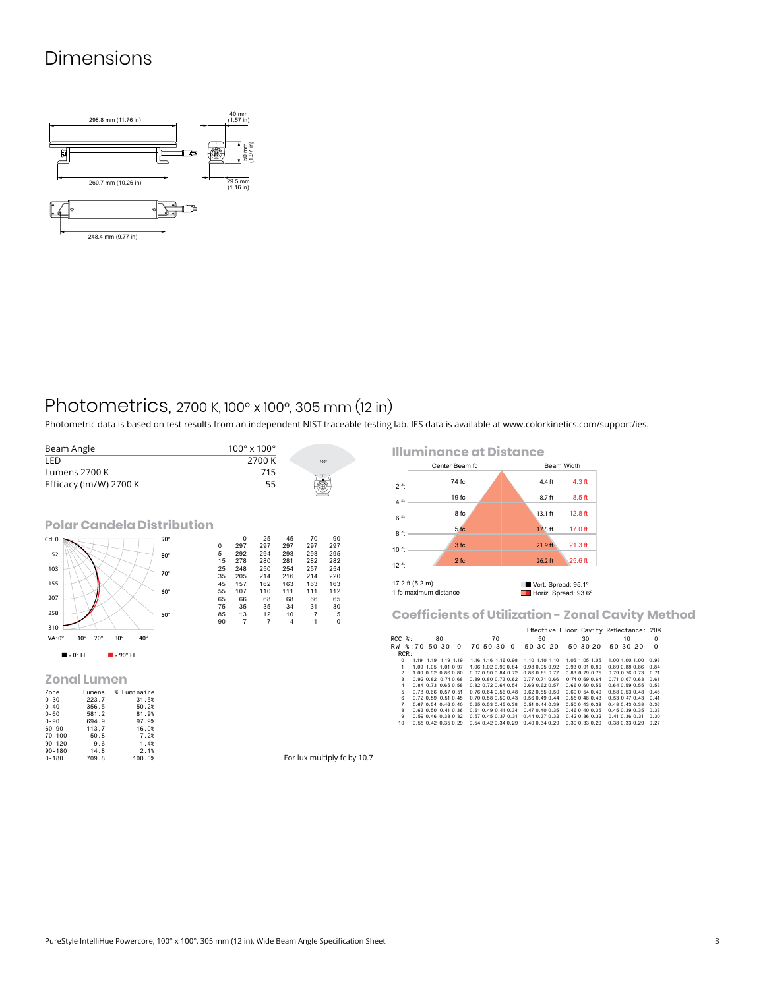# Dimensions



### Photometrics, 2700 K, 100° x 100°, 305 mm (12 in)

Photometric data is based on test results from an independent NIST traceable testing lab. IES data is available at [www.colorkinetics.com/support/ies.](http://www.colorkinetics.com/support/ies)



0-180 709.8 100.0%

|                | <b>Illuminance at Distance</b> |                   |
|----------------|--------------------------------|-------------------|
| Center Beam fc |                                | <b>Beam Width</b> |
|                |                                |                   |



**Coefficients of Utilization - Zonal Cavity Method**

|                 |                             |    |                                    |    |                                    |                      |    | Effective Floor Cavity Reflectance: 20% |    |                      |                      |          |                             |          |
|-----------------|-----------------------------|----|------------------------------------|----|------------------------------------|----------------------|----|-----------------------------------------|----|----------------------|----------------------|----------|-----------------------------|----------|
| RCC %:          |                             | 80 |                                    | 70 |                                    |                      | 50 |                                         | 30 |                      |                      | 10       |                             | $\Omega$ |
| RW %:70 50 30 0 |                             |    |                                    |    |                                    |                      |    | 70 50 30 0 50 30 20 50 30 20            |    |                      |                      | 50 30 20 |                             | $\Omega$ |
| RCR:            |                             |    |                                    |    |                                    |                      |    |                                         |    |                      |                      |          |                             |          |
| $\Omega$        | 1.19 1.19 1.19 1.19         |    |                                    |    | 1.16 1.16 1.16 0.98 1.10 1.10 1.10 |                      |    |                                         |    | 1.05 1.05 1.05       |                      |          | 1.00 1.00 1.00 0.98         |          |
| 1               | 1.09 1.05 1.01 0.97         |    | 1.06 1.02 0.99 0.84                |    |                                    | 0.98 0.95 0.92       |    |                                         |    | 0.93 0.91 0.89       | 0.89 0.88 0.86       |          |                             | 0.84     |
| $\mathcal{P}$   | 1.00 0.92 0.86 0.80         |    |                                    |    | 0.97 0.90 0.84 0.72                | 0.86 0.81 0.77       |    |                                         |    | $0.83$ $0.79$ $0.75$ |                      |          | 0.79 0.76 0.73 0.71         |          |
| $\mathbf{3}$    | 0.92 0.82 0.74 0.68         |    |                                    |    | 0.89 0.80 0.73 0.62 0.77 0.71 0.66 |                      |    |                                         |    | 0.740.690.64         |                      |          | $0.71$ $0.67$ $0.63$ $0.61$ |          |
| 4               | 0.84 0.73 0.65 0.58         |    |                                    |    | 0.82 0.72 0.64 0.54 0.69 0.62 0.57 |                      |    |                                         |    | $0.66$ $0.60$ $0.56$ |                      |          | 0.64 0.59 0.55 0.53         |          |
| 5               | 0.78 0.66 0.57 0.51         |    | 0.76 0.64 0.56 0.48                |    |                                    | $0.62$ $0.55$ $0.50$ |    |                                         |    | $0.60$ $0.54$ $0.49$ |                      |          | 0.58 0.53 0.48 0.46         |          |
| 6.              | $0.72$ $0.59$ $0.51$ $0.45$ |    |                                    |    | $0.70$ $0.58$ $0.50$ $0.43$        | 0.560.490.44         |    |                                         |    | 0.550.480.43         |                      |          | $0.53$ $0.47$ $0.43$ $0.41$ |          |
| $\overline{7}$  | $0.67$ $0.54$ $0.46$ $0.40$ |    | 0.65 0.53 0.45 0.38 0.51 0.44 0.39 |    |                                    |                      |    |                                         |    | $0.50$ $0.43$ $0.39$ | $0.48$ $0.43$ $0.38$ |          |                             | 0.36     |
| 8               | 0.63 0.50 0.41 0.36         |    |                                    |    | 0.61 0.49 0.41 0.34                | $0.47$ $0.40$ $0.35$ |    |                                         |    | $0.46$ $0.40$ $0.35$ |                      |          | 0.45 0.39 0.35 0.33         |          |
| 9               | 0.59 0.46 0.38 0.32         |    | 0.57 0.45 0.37 0.31                |    |                                    | $0.44$ $0.37$ $0.32$ |    |                                         |    | $0.42$ $0.36$ $0.32$ | $0.41$ $0.36$ $0.31$ |          |                             | 0.30     |
| 10              | $0.55$ $0.42$ $0.35$ $0.29$ |    | $0.54$ $0.42$ $0.34$ $0.29$        |    |                                    | $0.40$ $0.34$ $0.29$ |    |                                         |    | 0.390330.29          | 0.38 0.33 0.29       |          |                             | 0.27     |
|                 |                             |    |                                    |    |                                    |                      |    |                                         |    |                      |                      |          |                             |          |

For lux multiply fc by 10.7